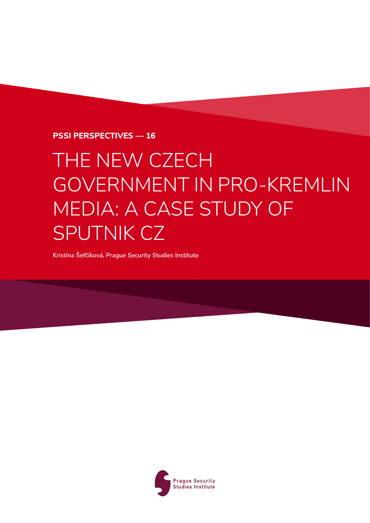**PSSI Perspectives — 16**

# THE NEW CZECH GOVERNMENT IN PRO‑KREMLIN MEDIA: A CASE STUDY OF SPUTNIK CZ

**Kristína Šefčíková, Prague Security Studies Institute**

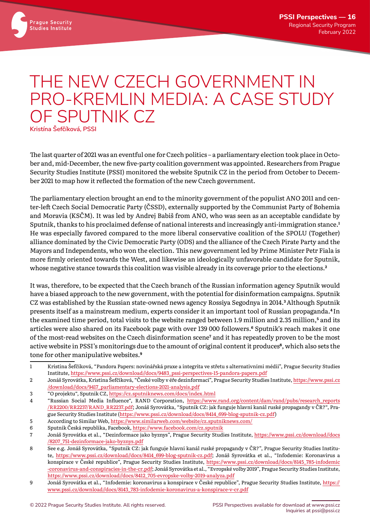## THE NEW CZECH GOVERNMENT IN PRO-KREMLIN MEDIA: A CASE STUDY OF SPUTNIK CZ

**Kristína Šefčíková, PSSI**

The last quarter of 2021 was an eventful one for Czech politics – a parliamentary election took place in October and, mid-December, the new five-party coalition government was appointed. Researchers from Prague Security Studies Institute (PSSI) monitored the website Sputnik CZ in the period from October to December 2021 to map how it reflected the formation of the new Czech government.

The parliamentary election brought an end to the minority government of the populist ANO 2011 and center-left Czech Social Democratic Party (ČSSD), externally supported by the Communist Party of Bohemia and Moravia (KSČM). It was led by Andrej Babiš from ANO, who was seen as an acceptable candidate by Sputnik, thanks to his proclaimed defense of national interests and increasingly anti-immigration stance.**<sup>1</sup>** He was especially favored compared to the more liberal conservative coalition of the SPOLU (Together) alliance dominated by the Civic Democratic Party (ODS) and the alliance of the Czech Pirate Party and the Mayors and Independents, who won the election. This new government led by Prime Minister Petr Fiala is more firmly oriented towards the West, and likewise an ideologically unfavorable candidate for Sputnik, whose negative stance towards this coalition was visible already in its coverage prior to the elections.**<sup>2</sup>**

It was, therefore, to be expected that the Czech branch of the Russian information agency Sputnik would have a biased approach to the new government, with the potential for disinformation campaigns. Sputnik CZ was established by the Russian state-owned news agency Rossiya Segodnya in 2014.**3**Although Sputnik presents itself as a mainstream medium, experts consider it an important tool of Russian propaganda.**<sup>4</sup>** In the examined time period, total visits to the website ranged between 1.9 million and 2.35 million,<sup>5</sup> and its articles were also shared on its Facebook page with over 139 000 followers.**6** Sputnik's reach makes it one of the most-read websites on the Czech disinformation scene**<sup>7</sup>** and it has repeatedly proven to be the most active website in PSSI's monitorings due to the amount of original content it produces**8**, which also sets the tone for other manipulative websites.**<sup>9</sup>**

<sup>1</sup> Kristína Šefčíková, "Pandora Papers: novinářská praxe a integrita ve střetu s alternativními médii", Prague Security Studies Institute, https:/[/www.pssi.cz](https://www.pssi.cz/download//docs/9483_pssi-perspectives-15-pandora-papers.pdf)/download//docs/9483\_pssi-perspectives-15-pandora-papers.pdf

<sup>2</sup> Jonáš Syrovátka, Kristína Šefčíková, "České volby v éře dezinformací", Prague Security Studies Institute, https:/[/www.pssi.cz](https://www.pssi.cz/download//docs/9417_parliamentary-elections-2021-analysis.pdf) /download//docs/9417\_[parliamentary](https://www.pssi.cz/download//docs/9417_parliamentary-elections-2021-analysis.pdf)-elections-2021-analysis.pdf

<sup>3</sup> "O projektu", Sputnik CZ, https:/[/cz.sputniknews.com](https://cz.sputniknews.com/docs/index.html)/docs/index.html

<sup>4</sup> "Russian Social Media Influence", RAND Corporation, https:/[/www.rand.org](https://www.rand.org/content/dam/rand/pubs/research_reports/RR2200/RR2237/RAND_RR2237.pdf)/content/dam/rand/pubs/research\_reports /RR2200/RR2237/RAND\_[RR2237.pdf;](https://www.rand.org/content/dam/rand/pubs/research_reports/RR2200/RR2237/RAND_RR2237.pdf) Jonáš Syrovátka, "Sputnik CZ: jak funguje hlavní kanál ruské propagandy v ČR?", Prague Security Studies Institute (https:/[/www.pssi.cz](https://www.pssi.cz/download/docs/8414_699-blog-sputnik-cz.pdf)/download/docs/8414\_699-blog-sputnik-cz.pdf)

<sup>5</sup> According to Similar Web, https:/[/www.similarweb.com](https://www.similarweb.com/website/cz.sputniknews.com/)/website/cz.sputniknews.com/

<sup>6</sup> Sputnik Česká republika, Facebook, https:/[/www.facebook.com](https://www.facebook.com/cz.sputnik)/cz.sputnik

<sup>7</sup> Jonáš Syrovátka et al., "Dezinformace jako byznys", Prague Security Studies Institute, https:/[/www.pssi.cz](https://www.pssi.cz/download//docs/8207_751-dezinformace-jako-byznys.pdf)/download//docs /8207\_751-[dezinformace](https://www.pssi.cz/download//docs/8207_751-dezinformace-jako-byznys.pdf)-jako-byznys.pdf

<sup>8</sup> See e.g. Jonáš Syrovátka, "Sputnik CZ: jak funguje hlavní kanál ruské propagandy v ČR?", Prague Security Studies Institu-te, https:/[/www.pssi.cz](https://www.pssi.cz/download//docs/8414_699-blog-sputnik-cz.pdf)/download//docs/8414\_699-blog-sputnik-cz.pdf; Jonáš Syrovátka et al., "Infodemie: Koronavirus a konspirace v České republice", Prague Security Studies Institute, https:/[/www.pssi.cz](https://www.pssi.cz/download//docs/8145_785-infodemic-coronavirus-and-conspiracies-in-the-cr.pdf)/download//docs/8145\_785-infodemic -coronavirus-and-[conspiracies](https://www.pssi.cz/download//docs/8145_785-infodemic-coronavirus-and-conspiracies-in-the-cr.pdf)-in-the-cr.pdf; Jonáš Syrovátka et al., "Evropské volby 2019", Prague Security Studies Institute, https:/[/www.pssi.cz](https://www.pssi.cz/download//docs/8412_705-evropske-volby-2019-analyza.pdf)/download//docs/8412\_705-evropske-volby-2019-analyza.pdf

<sup>9</sup> Jonáš Syrovátka et al., "Infodemie: koronavirus a konspirace v České republice", Prague Security Studies Institute, [https:](https://www.pssi.cz/download//docs/8143_783-infodemie-koronavirus-a-konspirace-v-cr.pdf)// [www.pssi.cz](https://www.pssi.cz/download//docs/8143_783-infodemie-koronavirus-a-konspirace-v-cr.pdf)/download//docs/8143\_783-infodemie-koronavirus-a-konspirace-v-cr.pdf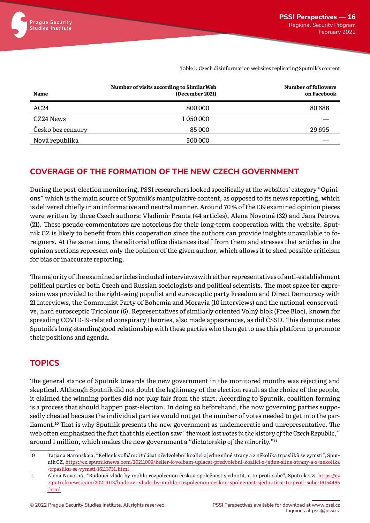Table 1: Czech disinformation websites replicating Sputnik's content

| <b>Name</b>       | Number of visits according to Similar Web<br>(December 2021) | Number of followers<br>on Facebook |
|-------------------|--------------------------------------------------------------|------------------------------------|
| AC24              | 800 000                                                      | 80688                              |
| CZ24 News         | 1050000                                                      |                                    |
| Česko bez cenzury | 85 000                                                       | 29695                              |
| Nová republika    | 500 000                                                      |                                    |

#### **COVERAGE OF THE FORMATION OF THE NEW CZECH GOVERNMENT**

During the post-election monitoring, PSSI researchers looked specifically at the websites' category "Opinions" which is the main source of Sputnik's manipulative content, as opposed to its news reporting, which is delivered chiefly in an informative and neutral manner. Around 70 % of the 139 examined opinion pieces were written by three Czech authors: Vladimír Franta (44 articles), Alena Novotná (32) and Jana Petrova (21). These pseudo-commentators are notorious for their long-term cooperation with the website. Sputnik CZ is likely to benefit from this cooperation since the authors can provide insights unavailable to foreigners. At the same time, the editorial office distances itself from them and stresses that articles in the opinion sections represent only the opinion of the given author, which allows it to shed possible criticism for bias or inaccurate reporting.

The majority of the examined articles included interviews with either representatives of anti-establishment political parties or both Czech and Russian sociologists and political scientists. The most space for expression was provided to the right-wing populist and eurosceptic party Freedom and Direct Democracy with 21 interviews, the Communist Party of Bohemia and Moravia (10 interviews) and the national-conservative, hard eurosceptic Tricolour (6). Representatives of similarly oriented Volný blok (Free Bloc), known for spreading COVID-19-related conspiracy theories, also made appearances, as did ČSSD. This demonstrates Sputnik's long-standing good relationship with these parties who then get to use this platform to promote their positions and agenda.

### **TOPICS**

The general stance of Sputnik towards the new government in the monitored months was rejecting and skeptical. Although Sputnik did not doubt the legitimacy of the election result as the choice of the people, it claimed the winning parties did not play fair from the start. According to Sputnik, coalition forming is a process that should happen post-election. In doing so beforehand, the now governing parties supposedly cheated because the individual parties would not get the number of votes needed to get into the parliament.**10** That is why Sputnik presents the new government as undemocratic and unrepresentative. The web often emphasized the fact that this election saw "*the most lost votes in the history of the Czech Republic,*" around 1 million, which makes the new government a "*dictatorship of the minority.*"**<sup>11</sup>**

<sup>10</sup> Tatjana Naronskaja, "Keller k volbám: Uplácat předvolební koalici z jedné silné strany a z několika trpaslíků se vymstí", Sputnik CZ, https:/[/cz.sputniknews.com](https://cz.sputniknews.com/20211009/keller-k-volbam-uplacat-predvolebni-koalici-z-jedne-silne-strany-a-z-nekolika-trpasliku-se-vymsti-16113731.html)/20211009/keller-k-volbam-uplacat-predvolebni-koalici-z-jedne-silne-strany-a-z-nekolika -trpasliku-se-vymsti-[16113731.html](https://cz.sputniknews.com/20211009/keller-k-volbam-uplacat-predvolebni-koalici-z-jedne-silne-strany-a-z-nekolika-trpasliku-se-vymsti-16113731.html)

<sup>11</sup> Alena Novotná, "Budoucí vláda by mohla rozpolcenou českou společnost sjednotit, a to proti sobě", Sputnik CZ, [https:](https://cz.sputniknews.com/20211013/budouci-vlada-by-mohla-rozpolcenou-ceskou-spolecnost-sjednotit-a-to-proti-sobe-16154465.html)//cz [.sputniknews.com](https://cz.sputniknews.com/20211013/budouci-vlada-by-mohla-rozpolcenou-ceskou-spolecnost-sjednotit-a-to-proti-sobe-16154465.html)/20211013/budouci-vlada-by-mohla-rozpolcenou-ceskou-spolecnost-sjednotit-a-to-proti-sobe-16154465 [.html](https://cz.sputniknews.com/20211013/budouci-vlada-by-mohla-rozpolcenou-ceskou-spolecnost-sjednotit-a-to-proti-sobe-16154465.html)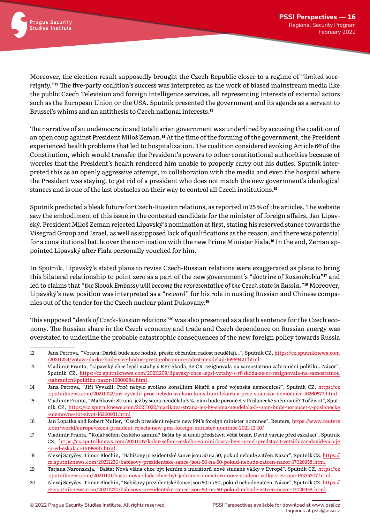

Moreover, the election result supposedly brought the Czech Republic closer to a regime of "*limited sovereignty.*"**12** The five-party coalition's success was interpreted as the work of biased mainstream media like the public Czech Television and foreign intelligence services, all representing interests of external actors such as the European Union or the USA. Sputnik presented the government and its agenda as a servant to Brussel's whims and an antithesis to Czech national interests.**<sup>13</sup>**

The narrative of an undemocratic and totalitarian government was underlined by accusing the coalition of an open coup against President Miloš Zeman.**14** At the time of the forming of the government, the President experienced health problems that led to hospitalization. The coalition considered evoking Article 66 of the Constitution, which would transfer the President's powers to other constitutional authorities because of worries that the President's health rendered him unable to properly carry out his duties. Sputnik interpreted this as an openly aggressive attempt, in collaboration with the media and even the hospital where the President was staying, to get rid of a president who does not match the new government's ideological stances and is one of the last obstacles on their way to control all Czech institutions.**<sup>15</sup>**

Sputnik predicted a bleak future for Czech-Russian relations, as reported in 25 % of the articles. The website saw the embodiment of this issue in the contested candidate for the minister of foreign affairs, Jan Lipavský. President Miloš Zeman rejected Lipavský's nomination at first, stating his reserved stance towards the Visegrad Group and Israel, as well as supposed lack of qualifications as the reason, and there was potential for a constitutional battle over the nomination with the new Prime Minister Fiala.**16** In the end, Zeman appointed Lipavský after Fiala personally vouched for him.

In Sputnik, Lipavský's stated plans to revise Czech-Russian relations were exaggerated as plans to bring this bilateral relationship to point zero as a part of the new government's "*doctrine of Russophobia*"**17** and led to claims that "*the Slovak Embassy will become the representative of the Czech state in Russia.*"**18** Moreover, Lipavský's new position was interpreted as a "*reward*" for his role in ousting Russian and Chinese companies out of the tender for the Czech nuclear plant Dukovany.**<sup>19</sup>**

This supposed "*death of Czech-Russian relations*"**20** was also presented as a death sentence for the Czech economy. The Russian share in the Czech economy and trade and Czech dependence on Russian energy was overstated to underline the probable catastrophic consequences of the new foreign policy towards Russia

<sup>12</sup> Jana Petrova, "Votava: Dárků bude sice hodně, přesto občanům radost neudělají…", Sputnik CZ, https:/[/cz.sputniknews.com](https://cz.sputniknews.com/20211224/votava-darku-bude-sice-hodne-presto-obcanum-radost-neudelaji-16969421.html) /20211224/votava-darku-bude-sice-hodne-presto-obcanum-radost-neudelaji-[16969421.html](https://cz.sputniknews.com/20211224/votava-darku-bude-sice-hodne-presto-obcanum-radost-neudelaji-16969421.html)

<sup>13</sup> Vladimír Franta, "Lipavský chce lepší vztahy s RF? Škoda, že ČR rezignovala na samostatnou zahraniční politiku. Názor", Sputnik CZ, https:/[/cz.sputniknews.com](https://cz.sputniknews.com/20211209/lipavsky-chce-lepsi-vztahy-s-rf-skoda-ze-cr-rezignovala-na-samostatnou-zahranicni-politiku-nazor-16800984.html)/20211209/lipavsky-chce-lepsi-vztahy-s-rf-skoda-ze-cr-rezignovala-na-samostatnou -zahranicni-politiku-nazor-[16800984.html](https://cz.sputniknews.com/20211209/lipavsky-chce-lepsi-vztahy-s-rf-skoda-ze-cr-rezignovala-na-samostatnou-zahranicni-politiku-nazor-16800984.html)

<sup>14</sup> Jana Petrova, "Jiří Vyvadil: Proč nebylo svoláno konsilium lékařů a proč vojenská nemocnice?", Sputnik CZ, [https:](https://cz.sputniknews.com/20211022/jiri-vyvadil-proc-nebylo-svolano-konsilium-lekaru-a-proc-vojenska-nemocnice-16260577.html)//cz [.sputniknews.com](https://cz.sputniknews.com/20211022/jiri-vyvadil-proc-nebylo-svolano-konsilium-lekaru-a-proc-vojenska-nemocnice-16260577.html)/20211022/jiri-vyvadil-proc-nebylo-svolano-konsilium-lekaru-a-proc-vojenska-nemocnice-16260577.html

<sup>15</sup> Vladimír Franta, "Maříková: Strana, jež by sama neudělala 5 %, nám bude poroučet v Poslanecké sněmovně? Toť život", Sputnik CZ, https:/[/cz.sputniknews.com](https://cz.sputniknews.com/20211022/marikova-strana-jez-by-sama-neudelala-5--nam-bude-poroucet-v-poslanecke-snemovne-tot-zivot-16260931.html)/20211022/marikova-strana-jez-by-sama-neudelala-5--nam-bude-poroucet-v-poslanecke -snemovne-tot-zivot-[16260931.html](https://cz.sputniknews.com/20211022/marikova-strana-jez-by-sama-neudelala-5--nam-bude-poroucet-v-poslanecke-snemovne-tot-zivot-16260931.html)

<sup>16</sup> Jan Lopatka and Robert Muller, "Czech president rejects new PM's foreign minister nominee", Reuters, https:/[/www.reuters](https://www.reuters.com/world/europe/czech-president-rejects-new-pms-foreign-minister-nominee-2021-12-10/) .com/world/europe/czech-[president](https://www.reuters.com/world/europe/czech-president-rejects-new-pms-foreign-minister-nominee-2021-12-10/)-rejects-new-pms-foreign-minister-nominee-2021-12-10/

<sup>17</sup> Vladimír Franta, "Kolář šéfem českého zamini? Bašta by si uměl představit větší bizár, David varuje před eskalací", Sputnik CZ, https:/[/cz.sputniknews.com](https://cz.sputniknews.com/20211017/kolar-sefem-ceskeho-zamini-basta-by-si-umel-predstavit-vetsi-bizar-david-varuje-pred-eskalaci-16199887.html)/20211017/kolar-sefem-ceskeho-zamini-basta-by-si-umel-predstavit-vetsi-bizar-david-varuje -pred-eskalaci-[16199887.html](https://cz.sputniknews.com/20211017/kolar-sefem-ceskeho-zamini-basta-by-si-umel-predstavit-vetsi-bizar-david-varuje-pred-eskalaci-16199887.html)

<sup>18</sup> Alexej Saryčev, Timur Blochin, "Babišovy prezidentské šance jsou 50 na 50, pokud nebude zatčen.Názor", Sputnik CZ, [https:](https://cz.sputniknews.com/20211230/babisovy-prezidentske-sance-jsou-50-na-50-pokud-nebude-zatcen-nazor-17026958.html)// [cz.sputniknews.com](https://cz.sputniknews.com/20211230/babisovy-prezidentske-sance-jsou-50-na-50-pokud-nebude-zatcen-nazor-17026958.html)/20211230/babisovy-prezidentske-sance-jsou-50-na-50-pokud-nebude-zatcen-nazor-17026958.html

<sup>19</sup> Tatjana Naronskaja, "Bašta: Nová vláda chce být jedním z iniciátorů nové studené války v Evropě", Sputnik CZ, [https:](https://cz.sputniknews.com/20211101/basta-nova-vlada-chce-byt-jednim-z-iniciatoru-nove-studene-valky-v-evrope-16335207.html)//cz [.sputniknews.com](https://cz.sputniknews.com/20211101/basta-nova-vlada-chce-byt-jednim-z-iniciatoru-nove-studene-valky-v-evrope-16335207.html)/20211101/basta-nova-vlada-chce-byt-jednim-z-iniciatoru-nove-studene-valky-v-evrope-16335207.html

<sup>20</sup> Alexej Saryčev, Timur Blochin, "Babišovy prezidentské šance jsou 50 na 50, pokud nebude zatčen. Názor", Sputnik CZ, [https:](https://cz.sputniknews.com/20211230/babisovy-prezidentske-sance-jsou-50-na-50-pokud-nebude-zatcen-nazor-17026958.html)// [cz.sputniknews.com](https://cz.sputniknews.com/20211230/babisovy-prezidentske-sance-jsou-50-na-50-pokud-nebude-zatcen-nazor-17026958.html)/20211230/babisovy-prezidentske-sance-jsou-50-na-50-pokud-nebude-zatcen-nazor-17026958.html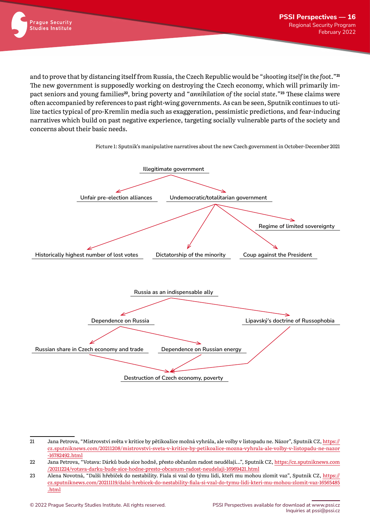

and to prove that by distancing itself from Russia, the Czech Republic would be "*shooting itself in the foot.*"**<sup>21</sup>** The new government is supposedly working on destroying the Czech economy, which will primarily impact seniors and young families**22**, bring poverty and "*annihilation of the social state.*"**23** These claims were often accompanied by references to past right-wing governments. As can be seen, Sputnik continues to utilize tactics typical of pro-Kremlin media such as exaggeration, pessimistic predictions, and fear-inducing narratives which build on past negative experience, targeting socially vulnerable parts of the society and concerns about their basic needs.



<sup>21</sup> Jana Petrova, "Mistrovství světa v kritice by pětikoalice možná vyhrála, ale volby v listopadu ne. Názor", Sputnik CZ, [https:](https://cz.sputniknews.com/20211208/mistrovstvi-sveta-v-kritice-by-petikoalice-mozna-vyhrala-ale-volby-v-listopadu-ne-nazor-16782492.html)// [cz.sputniknews.com](https://cz.sputniknews.com/20211208/mistrovstvi-sveta-v-kritice-by-petikoalice-mozna-vyhrala-ale-volby-v-listopadu-ne-nazor-16782492.html)/20211208/mistrovstvi-sveta-v-kritice-by-petikoalice-mozna-vyhrala-ale-volby-v-listopadu-ne-nazor -[16782492.html](https://cz.sputniknews.com/20211208/mistrovstvi-sveta-v-kritice-by-petikoalice-mozna-vyhrala-ale-volby-v-listopadu-ne-nazor-16782492.html)

<sup>22</sup> Jana Petrova, "Votava: Dárků bude sice hodně, přesto občanům radost neudělají…", Sputnik CZ, https:/[/cz.sputniknews.com](https://cz.sputniknews.com/20211224/votava-darku-bude-sice-hodne-presto-obcanum-radost-neudelaji-16969421.html) /20211224/votava-darku-bude-sice-hodne-presto-obcanum-radost-neudelaji-[16969421.html](https://cz.sputniknews.com/20211224/votava-darku-bude-sice-hodne-presto-obcanum-radost-neudelaji-16969421.html)

<sup>23</sup> Alena Novotná, "Další hřebíček do nestability. Fiala si vzal do týmu lidi, kteří mu mohou zlomit vaz", Sputnik CZ, [https:](https://cz.sputniknews.com/20211119/dalsi-hrebicek-do-nestability-fiala-si-vzal-do-tymu-lidi-kteri-mu-mohou-zlomit-vaz-16565485.html)// [cz.sputniknews.com](https://cz.sputniknews.com/20211119/dalsi-hrebicek-do-nestability-fiala-si-vzal-do-tymu-lidi-kteri-mu-mohou-zlomit-vaz-16565485.html)/20211119/dalsi-hrebicek-do-nestability-fiala-si-vzal-do-tymu-lidi-kteri-mu-mohou-zlomit-vaz-16565485 [.html](https://cz.sputniknews.com/20211119/dalsi-hrebicek-do-nestability-fiala-si-vzal-do-tymu-lidi-kteri-mu-mohou-zlomit-vaz-16565485.html)